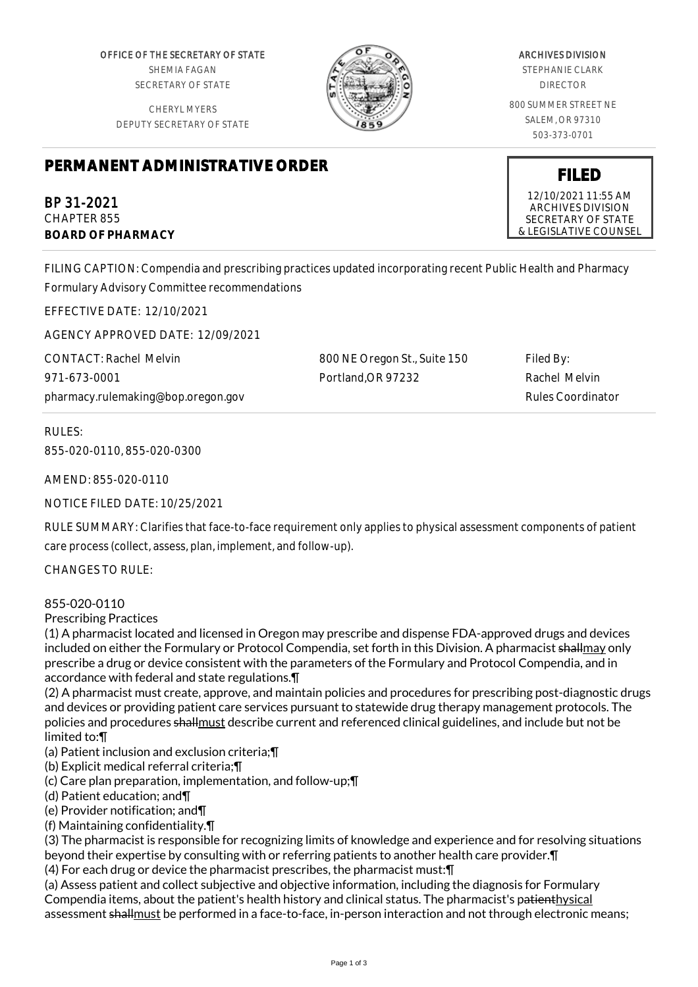OFFICE OF THE SECRETARY OF STATE SHEMIA FAGAN SECRETARY OF STATE

CHERYL MYERS DEPUTY SECRETARY OF STATE



## ARCHIVES DIVISION

STEPHANIE CLARK DIRECTOR

800 SUMMER STREET NE SALEM, OR 97310 503-373-0701

## **PERMANENT ADMINISTRATIVE ORDER**

BP 31-2021 CHAPTER 855 **BOARD OF PHARMACY**

FILING CAPTION: Compendia and prescribing practices updated incorporating recent Public Health and Pharmacy Formulary Advisory Committee recommendations

EFFECTIVE DATE: 12/10/2021

AGENCY APPROVED DATE: 12/09/2021

CONTACT: Rachel Melvin 971-673-0001 pharmacy.rulemaking@bop.oregon.gov 800 NE Oregon St., Suite 150 Portland,OR 97232

Filed By: Rachel Melvin Rules Coordinator

RULES: 855-020-0110, 855-020-0300

AMEND: 855-020-0110

NOTICE FILED DATE: 10/25/2021

RULE SUMMARY: Clarifies that face-to-face requirement only applies to physical assessment components of patient care process (collect, assess, plan, implement, and follow-up).

CHANGES TO RULE:

855-020-0110

Prescribing Practices

(1) A pharmacist located and licensed in Oregon may prescribe and dispense FDA-approved drugs and devices included on either the Formulary or Protocol Compendia, set forth in this Division. A pharmacist shallmay only prescribe a drug or device consistent with the parameters of the Formulary and Protocol Compendia, and in accordance with federal and state regulations.¶

(2) A pharmacist must create, approve, and maintain policies and procedures for prescribing post-diagnostic drugs and devices or providing patient care services pursuant to statewide drug therapy management protocols. The policies and procedures shallmust describe current and referenced clinical guidelines, and include but not be limited to:¶

(a) Patient inclusion and exclusion criteria;¶

(b) Explicit medical referral criteria;¶

(c) Care plan preparation, implementation, and follow-up;¶

(d) Patient education; and¶

(e) Provider notification; and¶

(f) Maintaining confidentiality.¶

(3) The pharmacist is responsible for recognizing limits of knowledge and experience and for resolving situations beyond their expertise by consulting with or referring patients to another health care provider.¶

(4) For each drug or device the pharmacist prescribes, the pharmacist must:¶

(a) Assess patient and collect subjective and objective information, including the diagnosis for Formulary Compendia items, about the patient's health history and clinical status. The pharmacist's patienthysical assessment shallmust be performed in a face-to-face, in-person interaction and not through electronic means;

**FILED**

12/10/2021 11:55 AM ARCHIVES DIVISION SECRETARY OF STATE & LEGISLATIVE COUNSEL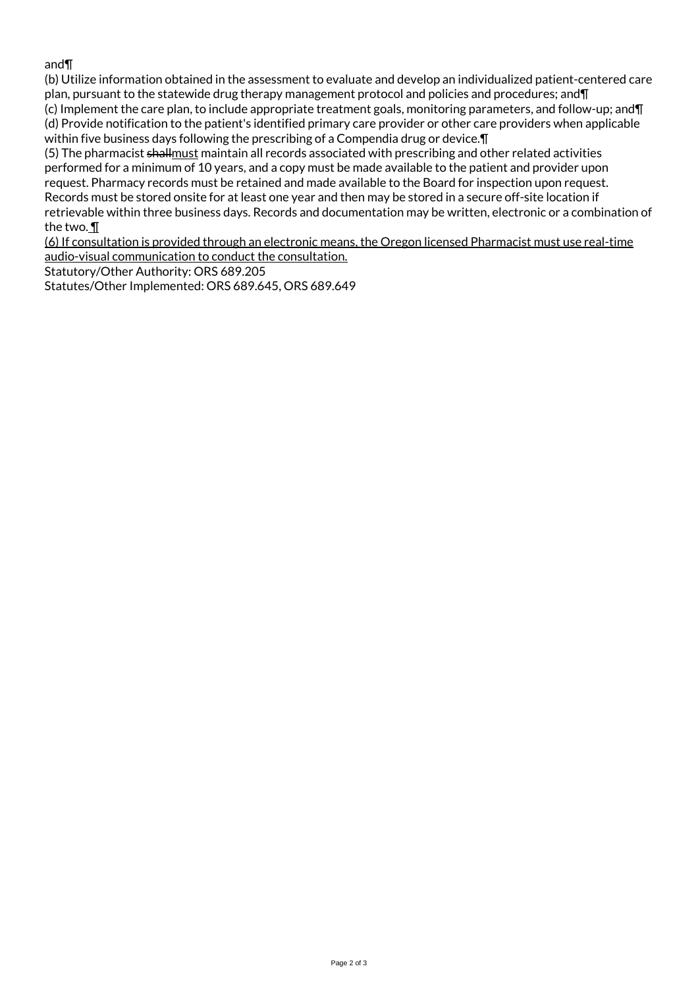## and¶

(b) Utilize information obtained in the assessment to evaluate and develop an individualized patient-centered care plan, pursuant to the statewide drug therapy management protocol and policies and procedures; and¶

(c) Implement the care plan, to include appropriate treatment goals, monitoring parameters, and follow-up; and¶ (d) Provide notification to the patient's identified primary care provider or other care providers when applicable within five business days following the prescribing of a Compendia drug or device.¶

(5) The pharmacist shallmust maintain all records associated with prescribing and other related activities performed for a minimum of 10 years, and a copy must be made available to the patient and provider upon request. Pharmacy records must be retained and made available to the Board for inspection upon request. Records must be stored onsite for at least one year and then may be stored in a secure off-site location if retrievable within three business days. Records and documentation may be written, electronic or a combination of the two. ¶

(6) If consultation is provided through an electronic means, the Oregon licensed Pharmacist must use real-time audio-visual communication to conduct the consultation.

Statutory/Other Authority: ORS 689.205

Statutes/Other Implemented: ORS 689.645, ORS 689.649